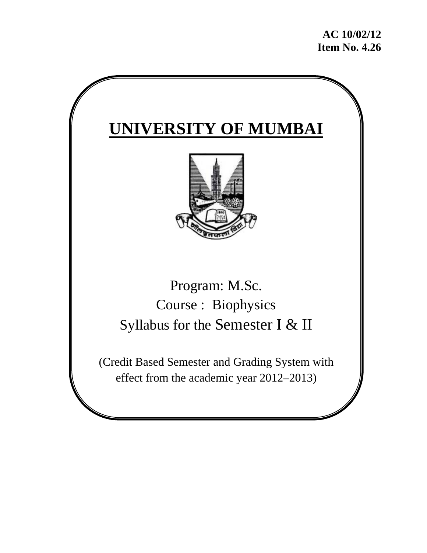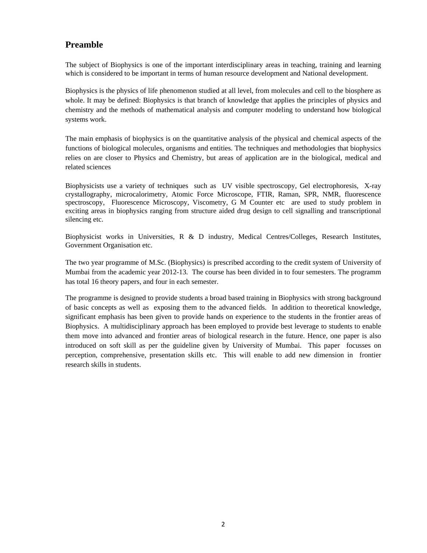### **Preamble**

The subject of Biophysics is one of the important interdisciplinary areas in teaching, training and learning which is considered to be important in terms of human resource development and National development.

Biophysics is the physics of life phenomenon studied at all level, from molecules and cell to the biosphere as whole. It may be defined: Biophysics is that branch of knowledge that applies the principles of physics and chemistry and the methods of mathematical analysis and computer modeling to understand how biological systems work.

The main emphasis of biophysics is on the quantitative analysis of the physical and chemical aspects of the functions of biological molecules, organisms and entities. The techniques and methodologies that biophysics relies on are closer to Physics and Chemistry, but areas of application are in the biological, medical and related sciences

Biophysicists use a variety of techniques such as UV visible spectroscopy, Gel electrophoresis, X-ray crystallography, microcalorimetry, Atomic Force Microscope, FTIR, Raman, SPR, NMR, fluorescence spectroscopy, Fluorescence Microscopy, Viscometry, G M Counter etc are used to study problem in exciting areas in biophysics ranging from structure aided drug design to cell signalling and transcriptional silencing etc.

Biophysicist works in Universities, R & D industry, Medical Centres/Colleges, Research Institutes, Government Organisation etc.

The two year programme of M.Sc. (Biophysics) is prescribed according to the credit system of University of Mumbai from the academic year 2012-13. The course has been divided in to four semesters. The programm has total 16 theory papers, and four in each semester.

The programme is designed to provide students a broad based training in Biophysics with strong background of basic concepts as well as exposing them to the advanced fields. In addition to theoretical knowledge, significant emphasis has been given to provide hands on experience to the students in the frontier areas of Biophysics. A multidisciplinary approach has been employed to provide best leverage to students to enable them move into advanced and frontier areas of biological research in the future. Hence, one paper is also introduced on soft skill as per the guideline given by University of Mumbai. This paper focusses on perception, comprehensive, presentation skills etc. This will enable to add new dimension in frontier research skills in students.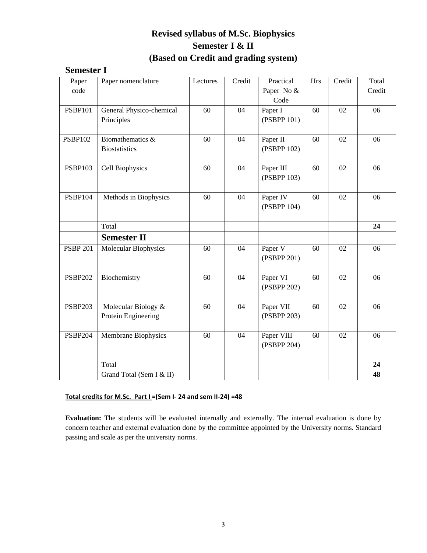## **Revised syllabus of M.Sc. Biophysics Semester I & II (Based on Credit and grading system)**

## **Semester I**

| Paper           | Paper nomenclature       | Lectures | Credit | Practical   | <b>Hrs</b> | Credit          | Total  |
|-----------------|--------------------------|----------|--------|-------------|------------|-----------------|--------|
| code            |                          |          |        | Paper No &  |            |                 | Credit |
|                 |                          |          |        | Code        |            |                 |        |
| <b>PSBP101</b>  | General Physico-chemical | 60       | 04     | Paper I     | 60         | $\overline{02}$ | 06     |
|                 | Principles               |          |        | (PSBPP 101) |            |                 |        |
|                 |                          |          |        |             |            |                 |        |
| <b>PSBP102</b>  | Biomathematics &         | 60       | 04     | Paper II    | 60         | 02              | 06     |
|                 | <b>Biostatistics</b>     |          |        | (PSBPP 102) |            |                 |        |
|                 |                          |          |        |             |            |                 |        |
| <b>PSBP103</b>  | Cell Biophysics          | 60       | 04     | Paper III   | 60         | 02              | 06     |
|                 |                          |          |        | (PSBPP 103) |            |                 |        |
|                 |                          |          |        |             |            |                 |        |
| <b>PSBP104</b>  | Methods in Biophysics    | 60       | 04     | Paper IV    | 60         | 02              | 06     |
|                 |                          |          |        | (PSBPP 104) |            |                 |        |
|                 |                          |          |        |             |            |                 |        |
|                 | Total                    |          |        |             |            |                 | 24     |
|                 | <b>Semester II</b>       |          |        |             |            |                 |        |
| <b>PSBP 201</b> | Molecular Biophysics     | 60       | 04     | Paper V     | 60         | 02              | 06     |
|                 |                          |          |        | (PSBPP 201) |            |                 |        |
|                 |                          |          |        |             |            |                 |        |
| <b>PSBP202</b>  | Biochemistry             | 60       | 04     | Paper VI    | 60         | 02              | 06     |
|                 |                          |          |        | (PSBPP 202) |            |                 |        |
|                 |                          |          |        |             |            |                 |        |
| <b>PSBP203</b>  | Molecular Biology &      | 60       | 04     | Paper VII   | 60         | 02              | 06     |
|                 | Protein Engineering      |          |        | (PSBPP 203) |            |                 |        |
|                 |                          |          |        |             |            |                 |        |
| <b>PSBP204</b>  | Membrane Biophysics      | 60       | 04     | Paper VIII  | 60         | 02              | 06     |
|                 |                          |          |        | (PSBPP 204) |            |                 |        |
|                 |                          |          |        |             |            |                 |        |
|                 | Total                    |          |        |             |            |                 | 24     |
|                 | Grand Total (Sem I & II) |          |        |             |            |                 | 48     |

#### **Total credits for M.Sc. Part I =(Sem I‐ 24 and sem II‐24) =48**

**Evaluation:** The students will be evaluated internally and externally. The internal evaluation is done by concern teacher and external evaluation done by the committee appointed by the University norms. Standard passing and scale as per the university norms.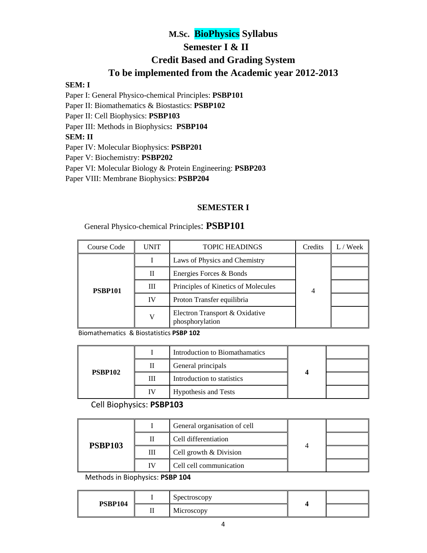## **M.Sc. BioPhysics Syllabus Semester I & II Credit Based and Grading System To be implemented from the Academic year 2012-2013**

#### **SEM: I**

Paper I: General Physico-chemical Principles: **PSBP101** Paper II: Biomathematics & Biostastics: **PSBP102**  Paper II: Cell Biophysics: **PSBP103**

Paper III: Methods in Biophysics**: PSBP104** 

#### **SEM: II**

Paper IV: Molecular Biophysics: **PSBP201**

Paper V: Biochemistry: **PSBP202**

Paper VI: Molecular Biology & Protein Engineering: **PSBP203**

Paper VIII: Membrane Biophysics: **PSBP204**

### **SEMESTER I**

#### General Physico-chemical Principles: **PSBP101**

| Course Code    | UNIT | <b>TOPIC HEADINGS</b>                             | Credits | Week |
|----------------|------|---------------------------------------------------|---------|------|
| <b>PSBP101</b> |      | Laws of Physics and Chemistry                     |         |      |
|                | Н    | Energies Forces & Bonds                           |         |      |
|                | Ш    | Principles of Kinetics of Molecules               |         |      |
|                | IV   | Proton Transfer equilibria                        |         |      |
|                |      | Electron Transport & Oxidative<br>phosphorylation |         |      |

 Biomathematics & Biostatistics **PSBP 102**

|                |           | Introduction to Biomathamatics |  |  |
|----------------|-----------|--------------------------------|--|--|
| <b>PSBP102</b> |           | General principals             |  |  |
|                | Ш         | Introduction to statistics     |  |  |
|                | <b>IV</b> | <b>Hypothesis and Tests</b>    |  |  |

#### Cell Biophysics: **PSBP103**

|                |    | General organisation of cell |  |  |
|----------------|----|------------------------------|--|--|
| <b>PSBP103</b> |    | Cell differentiation         |  |  |
|                | Ш  | Cell growth & Division       |  |  |
|                | IV | Cell cell communication      |  |  |

Methods in Biophysics: **PSBP 104**

|                | Spectroscopy   |  |
|----------------|----------------|--|
| <b>PSBP104</b> | <br>Microscopy |  |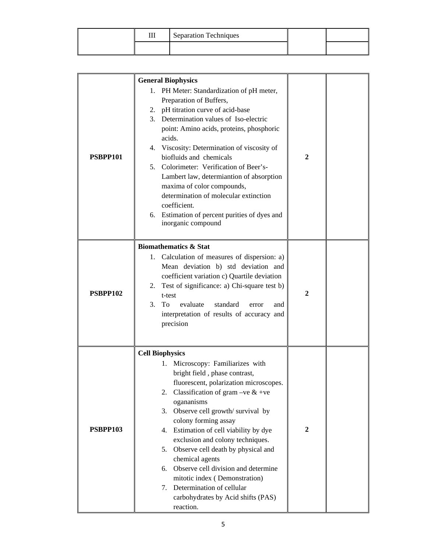| ш | Separation Techniques |  |
|---|-----------------------|--|
|   |                       |  |

|                 | <b>General Biophysics</b>                                                                                                                                                                                                                                                                                                                                                                                                                                                                                                                                                      |              |  |
|-----------------|--------------------------------------------------------------------------------------------------------------------------------------------------------------------------------------------------------------------------------------------------------------------------------------------------------------------------------------------------------------------------------------------------------------------------------------------------------------------------------------------------------------------------------------------------------------------------------|--------------|--|
| <b>PSBPP101</b> | PH Meter: Standardization of pH meter,<br>1.<br>Preparation of Buffers,<br>2. pH titration curve of acid-base<br>3. Determination values of Iso-electric<br>point: Amino acids, proteins, phosphoric<br>acids.<br>4. Viscosity: Determination of viscosity of<br>biofluids and chemicals<br>Colorimeter: Verification of Beer's-<br>5.<br>Lambert law, determiantion of absorption<br>maxima of color compounds,<br>determination of molecular extinction<br>coefficient.<br>6. Estimation of percent purities of dyes and<br>inorganic compound                               | 2            |  |
| <b>PSBPP102</b> | <b>Biomathematics &amp; Stat</b><br>1. Calculation of measures of dispersion: a)<br>Mean deviation b) std deviation and<br>coefficient variation c) Quartile deviation<br>Test of significance: a) Chi-square test b)<br>2.<br>t-test<br>3.<br>evaluate<br>To.<br>standard<br>error<br>and<br>interpretation of results of accuracy and<br>precision                                                                                                                                                                                                                           | 2            |  |
| <b>PSBPP103</b> | <b>Cell Biophysics</b><br>Microscopy: Familiarizes with<br>1.<br>bright field, phase contrast,<br>fluorescent, polarization microscopes.<br>Classification of gram –ve $&$ +ve<br>2.<br>ogananisms<br>Observe cell growth/survival by<br>3.<br>colony forming assay<br>4. Estimation of cell viability by dye<br>exclusion and colony techniques.<br>5. Observe cell death by physical and<br>chemical agents<br>Observe cell division and determine<br>6.<br>mitotic index (Demonstration)<br>7. Determination of cellular<br>carbohydrates by Acid shifts (PAS)<br>reaction. | $\mathbf{2}$ |  |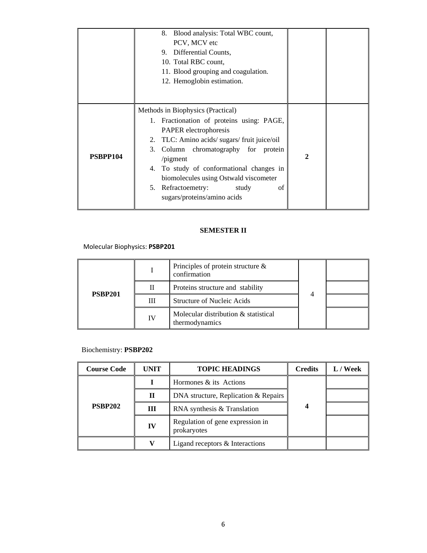|          | Blood analysis: Total WBC count,<br>8.<br>PCV, MCV etc<br>9. Differential Counts,<br>10. Total RBC count,<br>11. Blood grouping and coagulation.<br>12. Hemoglobin estimation.                                                                                                                                                                                              |              |  |
|----------|-----------------------------------------------------------------------------------------------------------------------------------------------------------------------------------------------------------------------------------------------------------------------------------------------------------------------------------------------------------------------------|--------------|--|
| PSBPP104 | Methods in Biophysics (Practical)<br>1. Fractionation of proteins using: PAGE,<br>PAPER electrophoresis<br>2. TLC: Amino acids/sugars/fruit juice/oil<br>3. Column chromatography for protein<br>$\pi$ /pigment<br>To study of conformational changes in<br>4.<br>biomolecules using Ostwald viscometer<br>5. Refractoemetry:<br>study<br>οf<br>sugars/proteins/amino acids | $\mathbf{2}$ |  |

## **SEMESTER II**

 Molecular Biophysics: **PSBP201**

|                |    | Principles of protein structure $\&$<br>confirmation   |  |  |
|----------------|----|--------------------------------------------------------|--|--|
| <b>PSBP201</b> | Н  | Proteins structure and stability                       |  |  |
|                | Ш  | <b>Structure of Nucleic Acids</b>                      |  |  |
|                | IV | Molecular distribution & statistical<br>thermodynamics |  |  |

### Biochemistry: **PSBP202**

| <b>Course Code</b> | <b>UNIT</b> | <b>TOPIC HEADINGS</b>                           | <b>Credits</b> | L / Week |
|--------------------|-------------|-------------------------------------------------|----------------|----------|
| <b>PSBP202</b>     |             | Hormones & its Actions                          |                |          |
|                    | $\mathbf H$ | DNA structure, Replication & Repairs            |                |          |
|                    | Ш           | RNA synthesis & Translation                     |                |          |
|                    | IV          | Regulation of gene expression in<br>prokaryotes |                |          |
|                    |             | Ligand receptors & Interactions                 |                |          |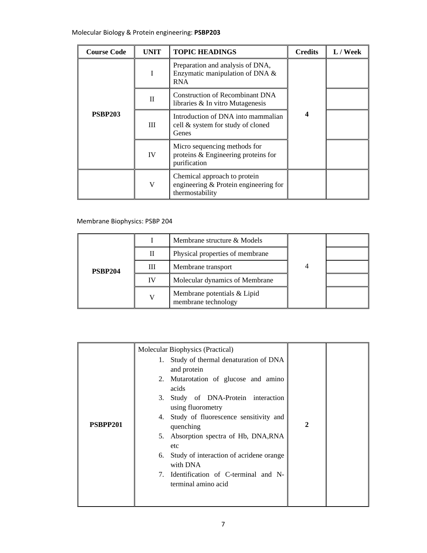| <b>Course Code</b> | <b>UNIT</b> | <b>TOPIC HEADINGS</b>                                                                      | <b>Credits</b>   | L / Week |
|--------------------|-------------|--------------------------------------------------------------------------------------------|------------------|----------|
| <b>PSBP203</b>     |             | Preparation and analysis of DNA,<br>Enzymatic manipulation of DNA &<br><b>RNA</b>          | $\boldsymbol{4}$ |          |
|                    | $_{\rm II}$ | Construction of Recombinant DNA<br>libraries & In vitro Mutagenesis                        |                  |          |
|                    | Ш           | Introduction of DNA into mammalian<br>cell & system for study of cloned<br>Genes           |                  |          |
|                    | IV          | Micro sequencing methods for<br>proteins & Engineering proteins for<br>purification        |                  |          |
|                    | V           | Chemical approach to protein<br>engineering $&$ Protein engineering for<br>thermostability |                  |          |

### Membrane Biophysics: PSBP 204

|                |    | Membrane structure & Models                        |   |  |
|----------------|----|----------------------------------------------------|---|--|
| <b>PSBP204</b> | Н  | Physical properties of membrane                    |   |  |
|                | Ш  | Membrane transport                                 | 4 |  |
|                | IV | Molecular dynamics of Membrane                     |   |  |
|                |    | Membrane potentials & Lipid<br>membrane technology |   |  |

|          | Molecular Biophysics (Practical)                              |               |  |
|----------|---------------------------------------------------------------|---------------|--|
|          | 1. Study of thermal denaturation of DNA<br>and protein        |               |  |
|          | 2. Mutarotation of glucose and amino<br>acids                 |               |  |
|          | 3. Study of DNA-Protein interaction<br>using fluorometry      |               |  |
| PSBPP201 | 4. Study of fluorescence sensitivity and<br>quenching         | $\mathcal{D}$ |  |
|          | 5. Absorption spectra of Hb, DNA, RNA<br>etc                  |               |  |
|          | 6. Study of interaction of acridene orange<br>with DNA        |               |  |
|          | 7. Identification of C-terminal and N-<br>terminal amino acid |               |  |
|          |                                                               |               |  |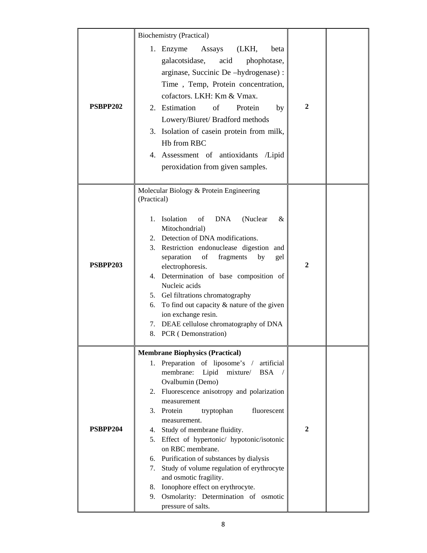|          | <b>Biochemistry (Practical)</b>                                                                                                                                                                                                                                                                                                                                                                                                                                                                                                                                                                                      |              |  |
|----------|----------------------------------------------------------------------------------------------------------------------------------------------------------------------------------------------------------------------------------------------------------------------------------------------------------------------------------------------------------------------------------------------------------------------------------------------------------------------------------------------------------------------------------------------------------------------------------------------------------------------|--------------|--|
| PSBPP202 | 1. Enzyme<br>Assays (LKH,<br>beta<br>galacotsidase, acid<br>phophotase,<br>arginase, Succinic De -hydrogenase) :<br>Time, Temp, Protein concentration,<br>cofactors. LKH: Km & Vmax.<br>2. Estimation<br>of<br>Protein<br>by<br>Lowery/Biuret/ Bradford methods<br>3. Isolation of casein protein from milk,<br>Hb from RBC<br>4. Assessment of antioxidants<br>/Lipid<br>peroxidation from given samples.                                                                                                                                                                                                           | $\mathbf{2}$ |  |
| PSBPP203 | Molecular Biology & Protein Engineering<br>(Practical)<br>1. Isolation<br>of<br><b>DNA</b><br>(Nuclear<br>&<br>Mitochondrial)<br>2. Detection of DNA modifications.<br>3. Restriction endonuclease digestion and<br>separation<br>of<br>fragments<br>by<br>gel<br>electrophoresis.<br>4. Determination of base composition of<br>Nucleic acids<br>5. Gel filtrations chromatography<br>To find out capacity $&$ nature of the given<br>6.<br>ion exchange resin.<br>7. DEAE cellulose chromatography of DNA<br>8. PCR (Demonstration)                                                                                | 2            |  |
| PSBPP204 | <b>Membrane Biophysics (Practical)</b><br>1. Preparation of liposome's / artificial<br>membrane:<br>Lipid<br>mixture/<br><b>BSA</b><br>Ovalbumin (Demo)<br>2. Fluorescence anisotropy and polarization<br>measurement<br>3. Protein<br>fluorescent<br>tryptophan<br>measurement.<br>4. Study of membrane fluidity.<br>5. Effect of hypertonic/ hypotonic/isotonic<br>on RBC membrane.<br>6. Purification of substances by dialysis<br>7. Study of volume regulation of erythrocyte<br>and osmotic fragility.<br>8. Ionophore effect on erythrocyte.<br>9. Osmolarity: Determination of osmotic<br>pressure of salts. | $\mathbf{2}$ |  |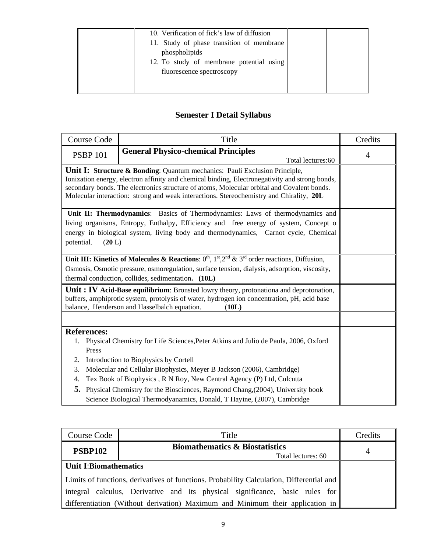| 10. Verification of fick's law of diffusion<br>11. Study of phase transition of membrane<br>phospholipids<br>12. To study of membrane potential using<br>fluorescence spectroscopy |  |
|------------------------------------------------------------------------------------------------------------------------------------------------------------------------------------|--|
|                                                                                                                                                                                    |  |

# **Semester I Detail Syllabus**

| <b>Course Code</b>                                                                                                                                                                                                                                                                                                                                                               |        | Title                                                                                                                                                                                                                                                                     | Credits        |
|----------------------------------------------------------------------------------------------------------------------------------------------------------------------------------------------------------------------------------------------------------------------------------------------------------------------------------------------------------------------------------|--------|---------------------------------------------------------------------------------------------------------------------------------------------------------------------------------------------------------------------------------------------------------------------------|----------------|
| <b>PSBP 101</b>                                                                                                                                                                                                                                                                                                                                                                  |        | <b>General Physico-chemical Principles</b><br>Total lectures: 60                                                                                                                                                                                                          | $\overline{4}$ |
| <b>Unit I: Structure &amp; Bonding:</b> Quantum mechanics: Pauli Exclusion Principle,<br>Ionization energy, electron affinity and chemical binding, Electronegativity and strong bonds,<br>secondary bonds. The electronics structure of atoms, Molecular orbital and Covalent bonds.<br>Molecular interaction: strong and weak interactions. Stereochemistry and Chirality, 20L |        |                                                                                                                                                                                                                                                                           |                |
| potential.                                                                                                                                                                                                                                                                                                                                                                       | (20 L) | Unit II: Thermodynamics: Basics of Thermodynamics: Laws of thermodynamics and<br>living organisms, Entropy, Enthalpy, Efficiency and free energy of system, Concept of<br>energy in biological system, living body and thermodynamics, Carnot cycle, Chemical             |                |
|                                                                                                                                                                                                                                                                                                                                                                                  |        | Unit III: Kinetics of Molecules & Reactions: $0^{th}$ , $1^{st}$ , $2^{nd}$ & $3^{rd}$ order reactions, Diffusion,<br>Osmosis, Osmotic pressure, osmoregulation, surface tension, dialysis, adsorption, viscosity,<br>thermal conduction, collides, sedimentation. (10L)  |                |
|                                                                                                                                                                                                                                                                                                                                                                                  |        | <b>Unit:</b> IV Acid-Base equilibrium: Bronsted lowry theory, protonationa and deprotonation,<br>buffers, amphiprotic system, protolysis of water, hydrogen ion concentration, pH, acid base<br>balance, Henderson and Hasselbalch equation.<br>(10L)                     |                |
|                                                                                                                                                                                                                                                                                                                                                                                  |        |                                                                                                                                                                                                                                                                           |                |
| <b>References:</b><br>1.<br>Press                                                                                                                                                                                                                                                                                                                                                |        | Physical Chemistry for Life Sciences, Peter Atkins and Julio de Paula, 2006, Oxford                                                                                                                                                                                       |                |
| 2.<br>3.<br>4.<br>5.                                                                                                                                                                                                                                                                                                                                                             |        | Introduction to Biophysics by Cortell<br>Molecular and Cellular Biophysics, Meyer B Jackson (2006), Cambridge)<br>Tex Book of Biophysics, R N Roy, New Central Agency (P) Ltd, Culcutta<br>Physical Chemistry for the Biosciences, Raymond Chang, (2004), University book |                |
|                                                                                                                                                                                                                                                                                                                                                                                  |        | Science Biological Thermodyanamics, Donald, T Hayine, (2007), Cambridge                                                                                                                                                                                                   |                |

| Course Code                                                                     | Title                                                                                    | Credits |
|---------------------------------------------------------------------------------|------------------------------------------------------------------------------------------|---------|
| <b>PSBP102</b>                                                                  | <b>Biomathematics &amp; Biostatistics</b><br>Total lectures: 60                          | 4       |
| <b>Unit I:Biomathematics</b>                                                    |                                                                                          |         |
|                                                                                 | Limits of functions, derivatives of functions. Probability Calculation, Differential and |         |
| calculus, Derivative and its physical significance, basic rules for<br>integral |                                                                                          |         |
| differentiation (Without derivation) Maximum and Minimum their application in   |                                                                                          |         |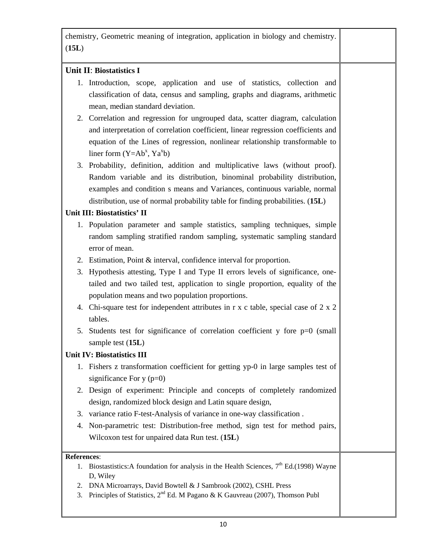chemistry, Geometric meaning of integration, application in biology and chemistry. (**15L**) **Unit II**: **Biostatistics I** 1. Introduction, scope, application and use of statistics, collection and classification of data, census and sampling, graphs and diagrams, arithmetic mean, median standard deviation. 2. Correlation and regression for ungrouped data, scatter diagram, calculation and interpretation of correlation coefficient, linear regression coefficients and equation of the Lines of regression, nonlinear relationship transformable to liner form  $(Y=Ab^x, Ya^xb)$ 3. Probability, definition, addition and multiplicative laws (without proof). Random variable and its distribution, binominal probability distribution, examples and condition s means and Variances, continuous variable, normal distribution, use of normal probability table for finding probabilities. (**15L**) **Unit III: Biostatistics' II**  1. Population parameter and sample statistics, sampling techniques, simple random sampling stratified random sampling, systematic sampling standard error of mean. 2. Estimation, Point & interval, confidence interval for proportion. 3. Hypothesis attesting, Type I and Type II errors levels of significance, onetailed and two tailed test, application to single proportion, equality of the population means and two population proportions. 4. Chi-square test for independent attributes in r x c table, special case of 2 x 2 tables. 5. Students test for significance of correlation coefficient  $y$  fore  $p=0$  (small sample test (**15L**) **Unit IV: Biostatistics III** 1. Fishers z transformation coefficient for getting yp-0 in large samples test of significance For  $y$  ( $p=0$ ) 2. Design of experiment: Principle and concepts of completely randomized design, randomized block design and Latin square design, 3. variance ratio F-test-Analysis of variance in one-way classification . 4. Non-parametric test: Distribution-free method, sign test for method pairs, Wilcoxon test for unpaired data Run test. (**15L**) **References**: 1. Biostastistics: A foundation for analysis in the Health Sciences,  $7<sup>th</sup>$  Ed.(1998) Wayne D, Wiley 2. DNA Microarrays, David Bowtell & J Sambrook (2002), CSHL Press 3. Principles of Statistics,  $2^{nd}$  Ed. M Pagano & K Gauvreau (2007), Thomson Publ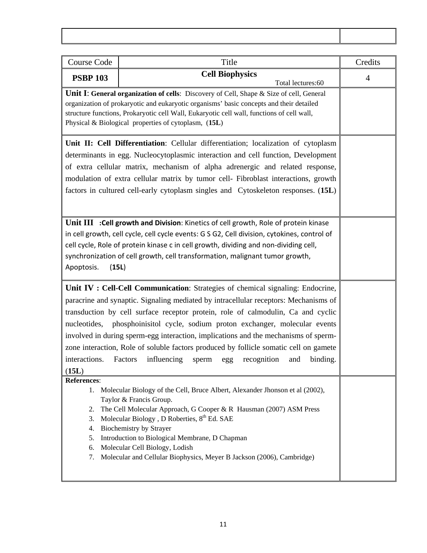| <b>Course Code</b>                              | Title                                                                                                                                                                                                                                                                                                                                                                                                                                                                                                                                                                                       | Credits        |
|-------------------------------------------------|---------------------------------------------------------------------------------------------------------------------------------------------------------------------------------------------------------------------------------------------------------------------------------------------------------------------------------------------------------------------------------------------------------------------------------------------------------------------------------------------------------------------------------------------------------------------------------------------|----------------|
| <b>PSBP 103</b>                                 | <b>Cell Biophysics</b><br>Total lectures: 60                                                                                                                                                                                                                                                                                                                                                                                                                                                                                                                                                | $\overline{4}$ |
|                                                 | <b>Unit I: General organization of cells:</b> Discovery of Cell, Shape & Size of cell, General<br>organization of prokaryotic and eukaryotic organisms' basic concepts and their detailed<br>structure functions, Prokaryotic cell Wall, Eukaryotic cell wall, functions of cell wall,<br>Physical & Biological properties of cytoplasm, (15L)                                                                                                                                                                                                                                              |                |
|                                                 | Unit II: Cell Differentiation: Cellular differentiation; localization of cytoplasm<br>determinants in egg. Nucleocytoplasmic interaction and cell function, Development<br>of extra cellular matrix, mechanism of alpha adrenergic and related response,<br>modulation of extra cellular matrix by tumor cell- Fibroblast interactions, growth<br>factors in cultured cell-early cytoplasm singles and Cytoskeleton responses. (15L)                                                                                                                                                        |                |
| Apoptosis.                                      | Unit III : Cell growth and Division: Kinetics of cell growth, Role of protein kinase<br>in cell growth, cell cycle, cell cycle events: G S G2, Cell division, cytokines, control of<br>cell cycle, Role of protein kinase c in cell growth, dividing and non-dividing cell,<br>synchronization of cell growth, cell transformation, malignant tumor growth,<br>(15L)                                                                                                                                                                                                                        |                |
| nucleotides,<br>interactions.<br>(15L)          | Unit IV : Cell-Cell Communication: Strategies of chemical signaling: Endocrine,<br>paracrine and synaptic. Signaling mediated by intracellular receptors: Mechanisms of<br>transduction by cell surface receptor protein, role of calmodulin, Ca and cyclic<br>phosphoinisitol cycle, sodium proton exchanger, molecular events<br>involved in during sperm-egg interaction, implications and the mechanisms of sperm-<br>zone interaction, Role of soluble factors produced by follicle somatic cell on gamete<br>Factors<br>influencing<br>binding.<br>recognition<br>and<br>sperm<br>egg |                |
| References:<br>2.<br>3.<br>4.<br>5.<br>6.<br>7. | 1. Molecular Biology of the Cell, Bruce Albert, Alexander Jhonson et al (2002),<br>Taylor & Francis Group.<br>The Cell Molecular Approach, G Cooper & R Hausman (2007) ASM Press<br>Molecular Biology, D Roberties, 8th Ed. SAE<br><b>Biochemistry by Strayer</b><br>Introduction to Biological Membrane, D Chapman<br>Molecular Cell Biology, Lodish<br>Molecular and Cellular Biophysics, Meyer B Jackson (2006), Cambridge)                                                                                                                                                              |                |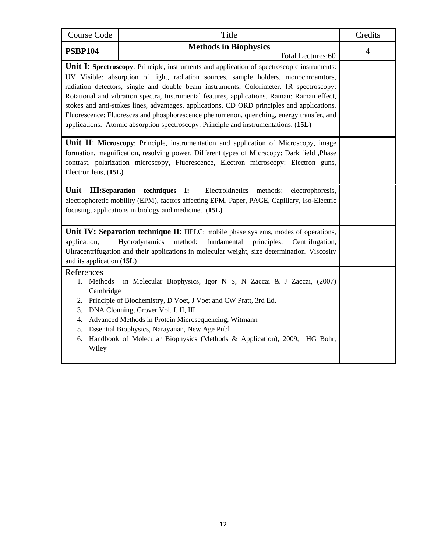| <b>Course Code</b>                                                                                                                                                                                                                                                                                                                                                                                                                                                                                                                                                                                                                                                  | Title                                                                                                                                                                                                                                                                                                                                                             | Credits        |  |  |
|---------------------------------------------------------------------------------------------------------------------------------------------------------------------------------------------------------------------------------------------------------------------------------------------------------------------------------------------------------------------------------------------------------------------------------------------------------------------------------------------------------------------------------------------------------------------------------------------------------------------------------------------------------------------|-------------------------------------------------------------------------------------------------------------------------------------------------------------------------------------------------------------------------------------------------------------------------------------------------------------------------------------------------------------------|----------------|--|--|
| <b>PSBP104</b>                                                                                                                                                                                                                                                                                                                                                                                                                                                                                                                                                                                                                                                      | <b>Methods in Biophysics</b><br>Total Lectures:60                                                                                                                                                                                                                                                                                                                 | $\overline{4}$ |  |  |
| <b>Unit I: Spectroscopy:</b> Principle, instruments and application of spectroscopic instruments:<br>UV Visible: absorption of light, radiation sources, sample holders, monochroamtors,<br>radiation detectors, single and double beam instruments, Colorimeter. IR spectroscopy:<br>Rotational and vibration spectra, Instrumental features, applications. Raman: Raman effect,<br>stokes and anti-stokes lines, advantages, applications. CD ORD principles and applications.<br>Fluorescence: Fluoresces and phosphorescence phenomenon, quenching, energy transfer, and<br>applications. Atomic absorption spectroscopy: Principle and instrumentations. (15L) |                                                                                                                                                                                                                                                                                                                                                                   |                |  |  |
|                                                                                                                                                                                                                                                                                                                                                                                                                                                                                                                                                                                                                                                                     | <b>Unit II: Microscopy:</b> Principle, instrumentation and application of Microscopy, image<br>formation, magnification, resolving power. Different types of Micrscopy: Dark field , Phase<br>contrast, polarization microscopy, Fluorescence, Electron microscopy: Electron guns,<br>Electron lens, (15L)                                                        |                |  |  |
| Unit<br><b>III:Separation</b>                                                                                                                                                                                                                                                                                                                                                                                                                                                                                                                                                                                                                                       | Electrokinetics<br>techniques<br>$\mathbf{I}$ :<br>methods:<br>electrophoresis,<br>electrophoretic mobility (EPM), factors affecting EPM, Paper, PAGE, Capillary, Iso-Electric<br>focusing, applications in biology and medicine. (15L)                                                                                                                           |                |  |  |
| application,<br>and its application (15L)                                                                                                                                                                                                                                                                                                                                                                                                                                                                                                                                                                                                                           | Unit IV: Separation technique II: HPLC: mobile phase systems, modes of operations,<br>Hydrodynamics<br>method:<br>fundamental<br>principles,<br>Centrifugation,<br>Ultracentrifugation and their applications in molecular weight, size determination. Viscosity                                                                                                  |                |  |  |
| References<br>1. Methods<br>Cambridge<br>3.<br>4.<br>5.<br>6.<br>Wiley                                                                                                                                                                                                                                                                                                                                                                                                                                                                                                                                                                                              | in Molecular Biophysics, Igor N S, N Zaccai & J Zaccai, (2007)<br>2. Principle of Biochemistry, D Voet, J Voet and CW Pratt, 3rd Ed,<br>DNA Clonning, Grover Vol. I, II, III<br>Advanced Methods in Protein Microsequencing, Witmann<br>Essential Biophysics, Narayanan, New Age Publ<br>Handbook of Molecular Biophysics (Methods & Application), 2009, HG Bohr, |                |  |  |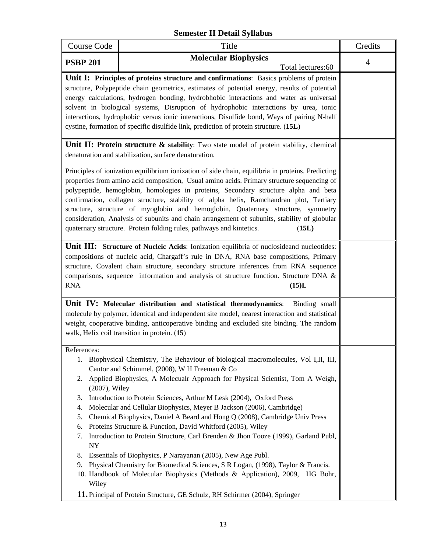## **Semester II Detail Syllabus**

| Course Code                                                                                  | Title                                                                                                                                                                                                                                                                                                                                                                                                                                                                                                                                                                                                                                                                                                                                                                                                                                                                                                                            | Credits        |
|----------------------------------------------------------------------------------------------|----------------------------------------------------------------------------------------------------------------------------------------------------------------------------------------------------------------------------------------------------------------------------------------------------------------------------------------------------------------------------------------------------------------------------------------------------------------------------------------------------------------------------------------------------------------------------------------------------------------------------------------------------------------------------------------------------------------------------------------------------------------------------------------------------------------------------------------------------------------------------------------------------------------------------------|----------------|
| <b>PSBP 201</b>                                                                              | <b>Molecular Biophysics</b>                                                                                                                                                                                                                                                                                                                                                                                                                                                                                                                                                                                                                                                                                                                                                                                                                                                                                                      | $\overline{4}$ |
|                                                                                              | Total lectures:60                                                                                                                                                                                                                                                                                                                                                                                                                                                                                                                                                                                                                                                                                                                                                                                                                                                                                                                |                |
|                                                                                              | Unit I: Principles of proteins structure and confirmations: Basics problems of protein<br>structure, Polypeptide chain geometrics, estimates of potential energy, results of potential<br>energy calculations, hydrogen bonding, hydrobhobic interactions and water as universal<br>solvent in biological systems, Disruption of hydrophobic interactions by urea, ionic<br>interactions, hydrophobic versus ionic interactions, Disulfide bond, Ways of pairing N-half<br>cystine, formation of specific disulfide link, prediction of protein structure. (15L)                                                                                                                                                                                                                                                                                                                                                                 |                |
|                                                                                              | Unit II: Protein structure $\&$ stability: Two state model of protein stability, chemical<br>denaturation and stabilization, surface denaturation.                                                                                                                                                                                                                                                                                                                                                                                                                                                                                                                                                                                                                                                                                                                                                                               |                |
|                                                                                              | Principles of ionization equilibrium ionization of side chain, equilibria in proteins. Predicting<br>properties from amino acid composition, Usual amino acids. Primary structure sequencing of<br>polypeptide, hemoglobin, homologies in proteins, Secondary structure alpha and beta<br>confirmation, collagen structure, stability of alpha helix, Ramchandran plot, Tertiary<br>structure, structure of myoglobin and hemoglobin, Quaternary structure, symmetry<br>consideration, Analysis of subunits and chain arrangement of subunits, stability of globular<br>quaternary structure. Protein folding rules, pathways and kintetics.<br>(15L)                                                                                                                                                                                                                                                                            |                |
| <b>RNA</b>                                                                                   | Unit III: Structure of Nucleic Acids: Ionization equilibria of nuclosideand nucleotides:<br>compositions of nucleic acid, Chargaff's rule in DNA, RNA base compositions, Primary<br>structure, Covalent chain structure, secondary structure inferences from RNA sequence<br>comparisons, sequence information and analysis of structure function. Structure DNA &<br>(15)L                                                                                                                                                                                                                                                                                                                                                                                                                                                                                                                                                      |                |
|                                                                                              | Unit IV: Molecular distribution and statistical thermodynamics:<br>Binding small<br>molecule by polymer, identical and independent site model, nearest interaction and statistical<br>weight, cooperative binding, anticoperative binding and excluded site binding. The random<br>walk, Helix coil transition in protein. (15)                                                                                                                                                                                                                                                                                                                                                                                                                                                                                                                                                                                                  |                |
| References:<br>(2007), Wiley<br>3.<br>4.<br>5.<br>6.<br>7.<br><b>NY</b><br>8.<br>9.<br>Wiley | 1. Biophysical Chemistry, The Behaviour of biological macromolecules, Vol I,II, III,<br>Cantor and Schimmel, (2008), W H Freeman & Co<br>2. Applied Biophysics, A Molecualr Approach for Physical Scientist, Tom A Weigh,<br>Introduction to Protein Sciences, Arthur M Lesk (2004), Oxford Press<br>Molecular and Cellular Biophysics, Meyer B Jackson (2006), Cambridge)<br>Chemical Biophysics, Daniel A Beard and Hong Q (2008), Cambridge Univ Press<br>Proteins Structure & Function, David Whitford (2005), Wiley<br>Introduction to Protein Structure, Carl Brenden & Jhon Tooze (1999), Garland Publ,<br>Essentials of Biophysics, P Narayanan (2005), New Age Publ.<br>Physical Chemistry for Biomedical Sciences, S R Logan, (1998), Taylor & Francis.<br>10. Handbook of Molecular Biophysics (Methods & Application), 2009, HG Bohr,<br>11. Principal of Protein Structure, GE Schulz, RH Schirmer (2004), Springer |                |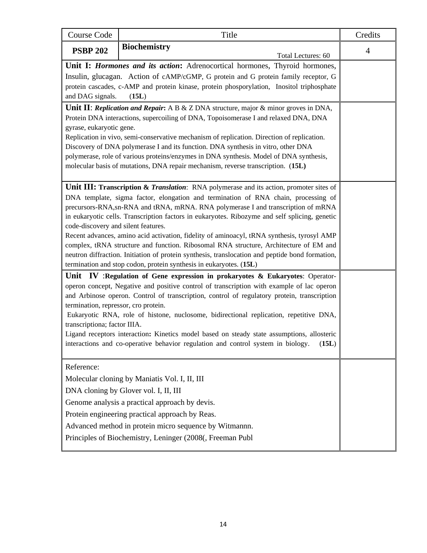| <b>Course Code</b>                                                                              | Title                                                                                                                                                                               | Credits        |
|-------------------------------------------------------------------------------------------------|-------------------------------------------------------------------------------------------------------------------------------------------------------------------------------------|----------------|
| <b>PSBP 202</b>                                                                                 | <b>Biochemistry</b><br>Total Lectures: 60                                                                                                                                           | $\overline{4}$ |
|                                                                                                 | Unit I: <i>Hormones and its action</i> : Adrenocortical hormones, Thyroid hormones,                                                                                                 |                |
|                                                                                                 | Insulin, glucagan. Action of cAMP/cGMP, G protein and G protein family receptor, G                                                                                                  |                |
|                                                                                                 | protein cascades, c-AMP and protein kinase, protein phosporylation, Inositol triphosphate                                                                                           |                |
| and DAG signals.                                                                                | (15L)                                                                                                                                                                               |                |
|                                                                                                 | Unit II: Replication and Repair: A B & Z DNA structure, major & minor groves in DNA,                                                                                                |                |
|                                                                                                 | Protein DNA interactions, supercoiling of DNA, Topoisomerase I and relaxed DNA, DNA                                                                                                 |                |
| gyrase, eukaryotic gene.                                                                        |                                                                                                                                                                                     |                |
|                                                                                                 | Replication in vivo, semi-conservative mechanism of replication. Direction of replication.<br>Discovery of DNA polymerase I and its function. DNA synthesis in vitro, other DNA     |                |
|                                                                                                 | polymerase, role of various proteins/enzymes in DNA synthesis. Model of DNA synthesis,                                                                                              |                |
|                                                                                                 | molecular basis of mutations, DNA repair mechanism, reverse transcription. (15L)                                                                                                    |                |
|                                                                                                 |                                                                                                                                                                                     |                |
|                                                                                                 | <b>Unit III: Transcription &amp; Translation:</b> RNA polymerase and its action, promoter sites of                                                                                  |                |
|                                                                                                 | DNA template, sigma factor, elongation and termination of RNA chain, processing of                                                                                                  |                |
|                                                                                                 | precursors-RNA, sn-RNA and tRNA, mRNA. RNA polymerase I and transcription of mRNA                                                                                                   |                |
|                                                                                                 | in eukaryotic cells. Transcription factors in eukaryotes. Ribozyme and self splicing, genetic                                                                                       |                |
| code-discovery and silent features.                                                             |                                                                                                                                                                                     |                |
|                                                                                                 | Recent advances, amino acid activation, fidelity of aminoacyl, tRNA synthesis, tyrosyl AMP<br>complex, tRNA structure and function. Ribosomal RNA structure, Architecture of EM and |                |
| neutron diffraction. Initiation of protein synthesis, translocation and peptide bond formation, |                                                                                                                                                                                     |                |
|                                                                                                 | termination and stop codon, protein synthesis in eukaryotes. (15L)                                                                                                                  |                |
|                                                                                                 | Unit IV : Regulation of Gene expression in prokaryotes $\&$ Eukaryotes: Operator-                                                                                                   |                |
|                                                                                                 | operon concept, Negative and positive control of transcription with example of lac operon                                                                                           |                |
|                                                                                                 | and Arbinose operon. Control of transcription, control of regulatory protein, transcription                                                                                         |                |
| termination, repressor, cro protein.                                                            |                                                                                                                                                                                     |                |
|                                                                                                 | Eukaryotic RNA, role of histone, nuclosome, bidirectional replication, repetitive DNA,                                                                                              |                |
| transcriptiona; factor IIIA.                                                                    | Ligand receptors interaction: Kinetics model based on steady state assumptions, allosteric                                                                                          |                |
|                                                                                                 | interactions and co-operative behavior regulation and control system in biology.<br>(15L)                                                                                           |                |
|                                                                                                 |                                                                                                                                                                                     |                |
| Reference:                                                                                      |                                                                                                                                                                                     |                |
|                                                                                                 | Molecular cloning by Maniatis Vol. I, II, III                                                                                                                                       |                |
|                                                                                                 | DNA cloning by Glover vol. I, II, III                                                                                                                                               |                |
|                                                                                                 | Genome analysis a practical approach by devis.                                                                                                                                      |                |
|                                                                                                 | Protein engineering practical approach by Reas.                                                                                                                                     |                |
|                                                                                                 |                                                                                                                                                                                     |                |
| Advanced method in protein micro sequence by Witmannn.                                          |                                                                                                                                                                                     |                |
|                                                                                                 | Principles of Biochemistry, Leninger (2008(, Freeman Publ                                                                                                                           |                |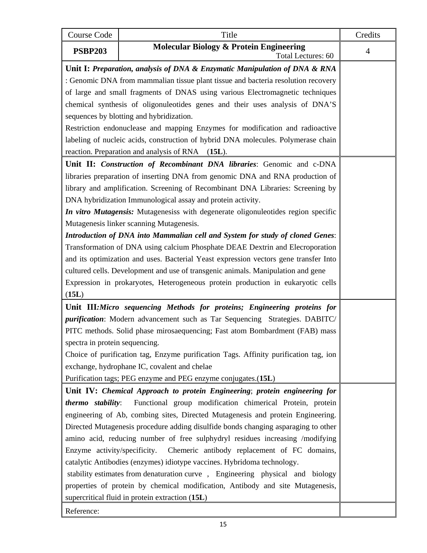| <b>Course Code</b>                                                              | Title                                                                                | Credits        |
|---------------------------------------------------------------------------------|--------------------------------------------------------------------------------------|----------------|
| <b>PSBP203</b>                                                                  | <b>Molecular Biology &amp; Protein Engineering</b><br>Total Lectures: 60             | $\overline{4}$ |
|                                                                                 | Unit I: Preparation, analysis of DNA & Enzymatic Manipulation of DNA & RNA           |                |
|                                                                                 | : Genomic DNA from mammalian tissue plant tissue and bacteria resolution recovery    |                |
|                                                                                 | of large and small fragments of DNAS using various Electromagnetic techniques        |                |
|                                                                                 | chemical synthesis of oligonuleotides genes and their uses analysis of DNA'S         |                |
|                                                                                 | sequences by blotting and hybridization.                                             |                |
|                                                                                 | Restriction endonuclease and mapping Enzymes for modification and radioactive        |                |
|                                                                                 | labeling of nucleic acids, construction of hybrid DNA molecules. Polymerase chain    |                |
|                                                                                 | reaction. Preparation and analysis of RNA<br>$(15L)$ .                               |                |
|                                                                                 | Unit II: Construction of Recombinant DNA libraries: Genomic and c-DNA                |                |
|                                                                                 | libraries preparation of inserting DNA from genomic DNA and RNA production of        |                |
|                                                                                 | library and amplification. Screening of Recombinant DNA Libraries: Screening by      |                |
|                                                                                 | DNA hybridization Immunological assay and protein activity.                          |                |
|                                                                                 | In vitro Mutagensis: Mutagenesiss with degenerate oligonuleotides region specific    |                |
|                                                                                 | Mutagenesis linker scanning Mutagenesis.                                             |                |
|                                                                                 | Introduction of DNA into Mammalian cell and System for study of cloned Genes:        |                |
|                                                                                 | Transformation of DNA using calcium Phosphate DEAE Dextrin and Elecroporation        |                |
|                                                                                 | and its optimization and uses. Bacterial Yeast expression vectors gene transfer Into |                |
|                                                                                 | cultured cells. Development and use of transgenic animals. Manipulation and gene     |                |
| Expression in prokaryotes, Heterogeneous protein production in eukaryotic cells |                                                                                      |                |
| (15L)                                                                           |                                                                                      |                |
|                                                                                 | Unit III: Micro sequencing Methods for proteins; Engineering proteins for            |                |
|                                                                                 | <i>purification</i> : Modern advancement such as Tar Sequencing Strategies. DABITC/  |                |
|                                                                                 | PITC methods. Solid phase mirosaequencing; Fast atom Bombardment (FAB) mass          |                |
| spectra in protein sequencing.                                                  |                                                                                      |                |
|                                                                                 | Choice of purification tag, Enzyme purification Tags. Affinity purification tag, ion |                |
|                                                                                 | exchange, hydrophane IC, covalent and chelae                                         |                |
|                                                                                 | Purification tags; PEG enzyme and PEG enzyme conjugates.(15L)                        |                |
|                                                                                 | Unit IV: Chemical Approach to protein Engineering; protein engineering for           |                |
| thermo stability:                                                               | Functional group modification chimerical Protein, protein                            |                |
|                                                                                 | engineering of Ab, combing sites, Directed Mutagenesis and protein Engineering.      |                |
|                                                                                 | Directed Mutagenesis procedure adding disulfide bonds changing asparaging to other   |                |
| amino acid, reducing number of free sulphydryl residues increasing /modifying   |                                                                                      |                |
| Enzyme activity/specificity.                                                    | Chemeric antibody replacement of FC domains,                                         |                |
|                                                                                 | catalytic Antibodies (enzymes) idiotype vaccines. Hybridoma technology.              |                |
|                                                                                 | stability estimates from denaturation curve, Engineering physical and biology        |                |
|                                                                                 | properties of protein by chemical modification, Antibody and site Mutagenesis,       |                |
| supercritical fluid in protein extraction (15L)                                 |                                                                                      |                |
| Reference:                                                                      |                                                                                      |                |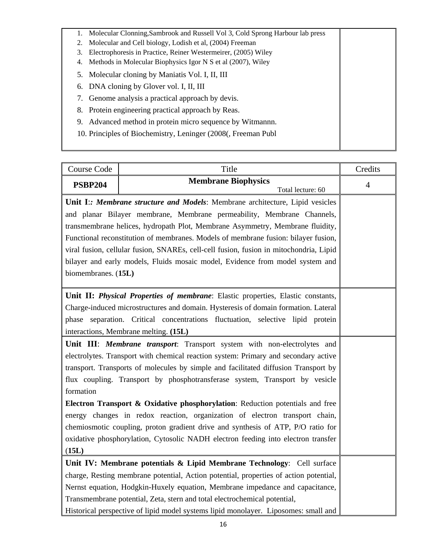|    | 1. Molecular Clonning, Sambrook and Russell Vol 3, Cold Sprong Harbour lab press |  |
|----|----------------------------------------------------------------------------------|--|
| 2. | Molecular and Cell biology, Lodish et al, (2004) Freeman                         |  |
| 3. | Electrophoresis in Practice, Reiner Westermeirer, (2005) Wiley                   |  |
| 4. | Methods in Molecular Biophysics Igor N S et al (2007), Wiley                     |  |
|    | 5. Molecular cloning by Maniatis Vol. I, II, III                                 |  |
|    | 6. DNA cloning by Glover vol. I, II, III                                         |  |
|    | 7. Genome analysis a practical approach by devis.                                |  |
|    | 8. Protein engineering practical approach by Reas.                               |  |
|    | Advanced method in protein micro sequence by Witmannn.<br>9.                     |  |
|    | 10. Principles of Biochemistry, Leninger (2008), Freeman Publ                    |  |
|    |                                                                                  |  |

| Course Code                                                                            | Title                                           | Credits        |  |
|----------------------------------------------------------------------------------------|-------------------------------------------------|----------------|--|
| <b>PSBP204</b>                                                                         | <b>Membrane Biophysics</b><br>Total lecture: 60 | $\overline{4}$ |  |
| Unit I:: Membrane structure and Models: Membrane architecture, Lipid vesicles          |                                                 |                |  |
| and planar Bilayer membrane, Membrane permeability, Membrane Channels,                 |                                                 |                |  |
| transmembrane helices, hydropath Plot, Membrane Asymmetry, Membrane fluidity,          |                                                 |                |  |
| Functional reconstitution of membranes. Models of membrane fusion: bilayer fusion,     |                                                 |                |  |
| viral fusion, cellular fusion, SNAREs, cell-cell fusion, fusion in mitochondria, Lipid |                                                 |                |  |
| bilayer and early models, Fluids mosaic model, Evidence from model system and          |                                                 |                |  |
| biomembranes. (15L)                                                                    |                                                 |                |  |
|                                                                                        |                                                 |                |  |
| Unit II: Physical Properties of membrane: Elastic properties, Elastic constants,       |                                                 |                |  |
| Charge-induced microstructures and domain. Hysteresis of domain formation. Lateral     |                                                 |                |  |
| phase separation. Critical concentrations fluctuation, selective lipid protein         |                                                 |                |  |
| interactions, Membrane melting. (15L)                                                  |                                                 |                |  |
| Unit III: Membrane transport: Transport system with non-electrolytes and               |                                                 |                |  |
| electrolytes. Transport with chemical reaction system: Primary and secondary active    |                                                 |                |  |
| transport. Transports of molecules by simple and facilitated diffusion Transport by    |                                                 |                |  |
| flux coupling. Transport by phosphotransferase system, Transport by vesicle            |                                                 |                |  |
| formation                                                                              |                                                 |                |  |
| Electron Transport & Oxidative phosphorylation: Reduction potentials and free          |                                                 |                |  |
| energy changes in redox reaction, organization of electron transport chain,            |                                                 |                |  |
| chemiosmotic coupling, proton gradient drive and synthesis of ATP, P/O ratio for       |                                                 |                |  |
| oxidative phosphorylation, Cytosolic NADH electron feeding into electron transfer      |                                                 |                |  |
| (15L)                                                                                  |                                                 |                |  |
| Unit IV: Membrane potentials & Lipid Membrane Technology: Cell surface                 |                                                 |                |  |
| charge, Resting membrane potential, Action potential, properties of action potential,  |                                                 |                |  |
| Nernst equation, Hodgkin-Huxely equation, Membrane impedance and capacitance,          |                                                 |                |  |
| Transmembrane potential, Zeta, stern and total electrochemical potential,              |                                                 |                |  |
| Historical perspective of lipid model systems lipid monolayer. Liposomes: small and    |                                                 |                |  |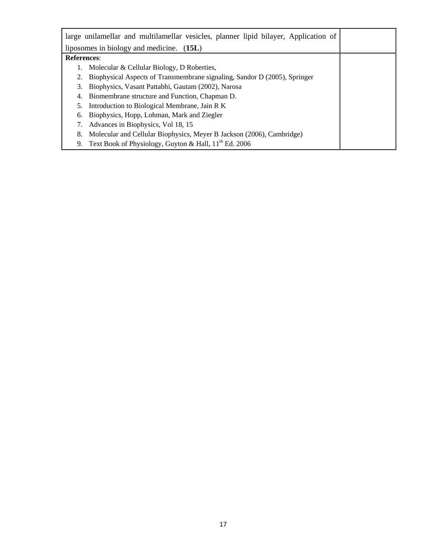| large unilamellar and multilamellar vesicles, planner lipid bilayer, Application of |  |
|-------------------------------------------------------------------------------------|--|
| liposomes in biology and medicine. (15L)                                            |  |
| <b>References:</b>                                                                  |  |
| Molecular & Cellular Biology, D Roberties,<br>1.                                    |  |
| Biophysical Aspects of Transmembrane signaling, Sandor D (2005), Springer<br>2.     |  |
| Biophysics, Vasant Pattabhi, Gautam (2002), Narosa<br>3.                            |  |
| Biomembrane structure and Function, Chapman D.<br>4.                                |  |
| Introduction to Biological Membrane, Jain R K<br>5.                                 |  |
| Biophysics, Hopp, Lohman, Mark and Ziegler<br>6.                                    |  |
| Advances in Biophysics, Vol 18, 15<br>7.                                            |  |
| Molecular and Cellular Biophysics, Meyer B Jackson (2006), Cambridge)<br>8.         |  |
| Text Book of Physiology, Guyton & Hall, 11 <sup>th</sup> Ed. 2006<br>9.             |  |